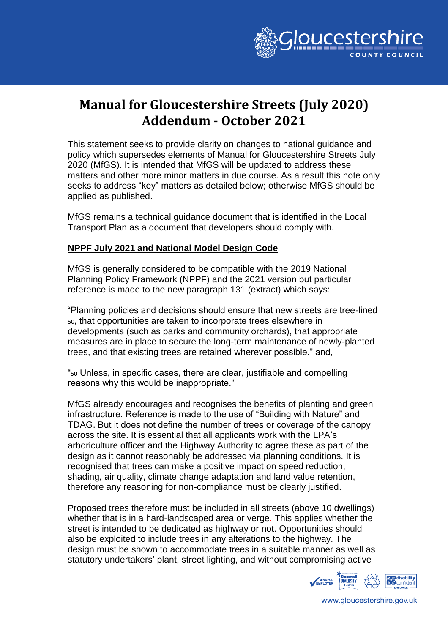

# **Manual for Gloucestershire Streets (July 2020) Addendum - October 2021**

This statement seeks to provide clarity on changes to national guidance and policy which supersedes elements of Manual for Gloucestershire Streets July 2020 (MfGS). It is intended that MfGS will be updated to address these matters and other more minor matters in due course. As a result this note only seeks to address "key" matters as detailed below; otherwise MfGS should be applied as published.

MfGS remains a technical guidance document that is identified in the Local Transport Plan as a document that developers should comply with.

# **NPPF July 2021 and National Model Design Code**

MfGS is generally considered to be compatible with the 2019 National Planning Policy Framework (NPPF) and the 2021 version but particular reference is made to the new paragraph 131 (extract) which says:

"Planning policies and decisions should ensure that new streets are tree-lined <sup>50</sup>, that opportunities are taken to incorporate trees elsewhere in developments (such as parks and community orchards), that appropriate measures are in place to secure the long-term maintenance of newly-planted trees, and that existing trees are retained wherever possible." and,

"<sup>50</sup> Unless, in specific cases, there are clear, justifiable and compelling reasons why this would be inappropriate."

MfGS already encourages and recognises the benefits of planting and green infrastructure. Reference is made to the use of "Building with Nature" and TDAG. But it does not define the number of trees or coverage of the canopy across the site. It is essential that all applicants work with the LPA's arboriculture officer and the Highway Authority to agree these as part of the design as it cannot reasonably be addressed via planning conditions. It is recognised that trees can make a positive impact on speed reduction, shading, air quality, climate change adaptation and land value retention, therefore any reasoning for non-compliance must be clearly justified.

Proposed trees therefore must be included in all streets (above 10 dwellings) whether that is in a hard-landscaped area or verge. This applies whether the street is intended to be dedicated as highway or not. Opportunities should also be exploited to include trees in any alterations to the highway. The design must be shown to accommodate trees in a suitable manner as well as statutory undertakers' plant, street lighting, and without compromising active



www.gloucestershire.gov.uk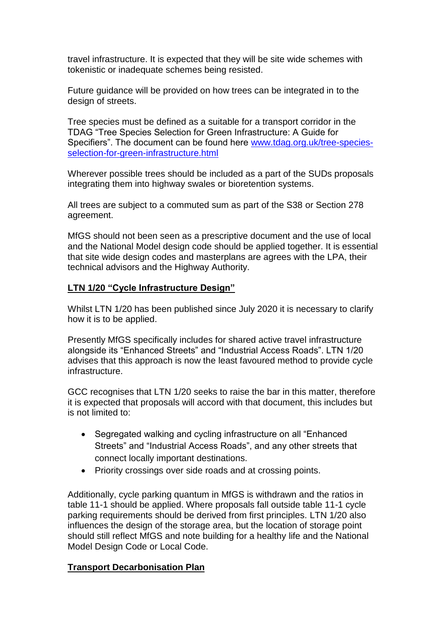travel infrastructure. It is expected that they will be site wide schemes with tokenistic or inadequate schemes being resisted.

Future guidance will be provided on how trees can be integrated in to the design of streets.

Tree species must be defined as a suitable for a transport corridor in the TDAG "Tree Species Selection for Green Infrastructure: A Guide for Specifiers". The document can be found here [www.tdag.org.uk/tree-species](http://www.tdag.org.uk/tree-species-selection-for-green-infrastructure.html)[selection-for-green-infrastructure.html](http://www.tdag.org.uk/tree-species-selection-for-green-infrastructure.html)

Wherever possible trees should be included as a part of the SUDs proposals integrating them into highway swales or bioretention systems.

All trees are subject to a commuted sum as part of the S38 or Section 278 agreement.

MfGS should not been seen as a prescriptive document and the use of local and the National Model design code should be applied together. It is essential that site wide design codes and masterplans are agrees with the LPA, their technical advisors and the Highway Authority.

# **LTN 1/20 "Cycle Infrastructure Design"**

Whilst LTN 1/20 has been published since July 2020 it is necessary to clarify how it is to be applied.

Presently MfGS specifically includes for shared active travel infrastructure alongside its "Enhanced Streets" and "Industrial Access Roads". LTN 1/20 advises that this approach is now the least favoured method to provide cycle infrastructure.

GCC recognises that LTN 1/20 seeks to raise the bar in this matter, therefore it is expected that proposals will accord with that document, this includes but is not limited to:

- Segregated walking and cycling infrastructure on all "Enhanced" Streets" and "Industrial Access Roads", and any other streets that connect locally important destinations.
- Priority crossings over side roads and at crossing points.

Additionally, cycle parking quantum in MfGS is withdrawn and the ratios in table 11-1 should be applied. Where proposals fall outside table 11-1 cycle parking requirements should be derived from first principles. LTN 1/20 also influences the design of the storage area, but the location of storage point should still reflect MfGS and note building for a healthy life and the National Model Design Code or Local Code.

# **Transport Decarbonisation Plan**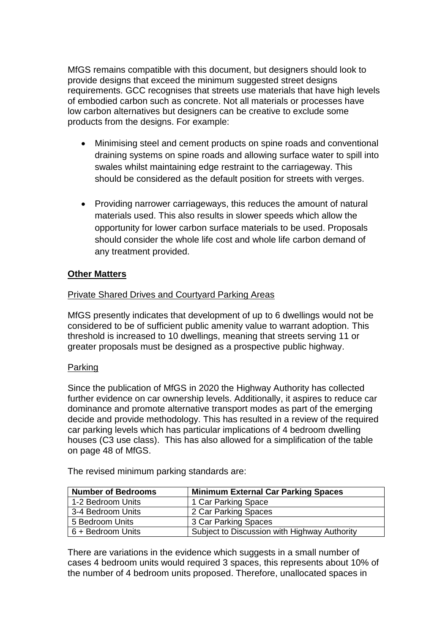MfGS remains compatible with this document, but designers should look to provide designs that exceed the minimum suggested street designs requirements. GCC recognises that streets use materials that have high levels of embodied carbon such as concrete. Not all materials or processes have low carbon alternatives but designers can be creative to exclude some products from the designs. For example:

- Minimising steel and cement products on spine roads and conventional draining systems on spine roads and allowing surface water to spill into swales whilst maintaining edge restraint to the carriageway. This should be considered as the default position for streets with verges.
- Providing narrower carriageways, this reduces the amount of natural materials used. This also results in slower speeds which allow the opportunity for lower carbon surface materials to be used. Proposals should consider the whole life cost and whole life carbon demand of any treatment provided.

# **Other Matters**

# Private Shared Drives and Courtyard Parking Areas

MfGS presently indicates that development of up to 6 dwellings would not be considered to be of sufficient public amenity value to warrant adoption. This threshold is increased to 10 dwellings, meaning that streets serving 11 or greater proposals must be designed as a prospective public highway.

# Parking

Since the publication of MfGS in 2020 the Highway Authority has collected further evidence on car ownership levels. Additionally, it aspires to reduce car dominance and promote alternative transport modes as part of the emerging decide and provide methodology. This has resulted in a review of the required car parking levels which has particular implications of 4 bedroom dwelling houses (C3 use class). This has also allowed for a simplification of the table on page 48 of MfGS.

The revised minimum parking standards are:

| <b>Number of Bedrooms</b> | <b>Minimum External Car Parking Spaces</b>   |
|---------------------------|----------------------------------------------|
| 1-2 Bedroom Units         | 1 Car Parking Space                          |
| 3-4 Bedroom Units         | 2 Car Parking Spaces                         |
| 5 Bedroom Units           | 3 Car Parking Spaces                         |
| 6 + Bedroom Units         | Subject to Discussion with Highway Authority |

There are variations in the evidence which suggests in a small number of cases 4 bedroom units would required 3 spaces, this represents about 10% of the number of 4 bedroom units proposed. Therefore, unallocated spaces in